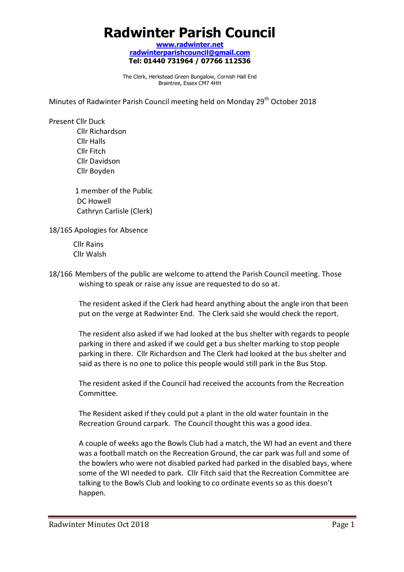# **Radwinter Parish Council**

**www.radwinter.net radwinterparishcouncil@gmail.com Tel: 01440 731964 / 07766 112536** 

The Clerk, Herkstead Green Bungalow, Cornish Hall End Braintree, Essex CM7 4HH

Minutes of Radwinter Parish Council meeting held on Monday 29<sup>th</sup> October 2018

Present Cllr Duck

 Cllr Richardson Cllr Halls Cllr Fitch Cllr Davidson Cllr Boyden

 1 member of the Public DC Howell Cathryn Carlisle (Clerk)

18/165 Apologies for Absence

 Cllr Rains Cllr Walsh

18/166 Members of the public are welcome to attend the Parish Council meeting. Those wishing to speak or raise any issue are requested to do so at.

The resident asked if the Clerk had heard anything about the angle iron that been put on the verge at Radwinter End. The Clerk said she would check the report.

The resident also asked if we had looked at the bus shelter with regards to people parking in there and asked if we could get a bus shelter marking to stop people parking in there. Cllr Richardson and The Clerk had looked at the bus shelter and said as there is no one to police this people would still park in the Bus Stop.

The resident asked if the Council had received the accounts from the Recreation Committee.

The Resident asked if they could put a plant in the old water fountain in the Recreation Ground carpark. The Council thought this was a good idea.

A couple of weeks ago the Bowls Club had a match, the WI had an event and there was a football match on the Recreation Ground, the car park was full and some of the bowlers who were not disabled parked had parked in the disabled bays, where some of the WI needed to park. Cllr Fitch said that the Recreation Committee are talking to the Bowls Club and looking to co ordinate events so as this doesn't happen.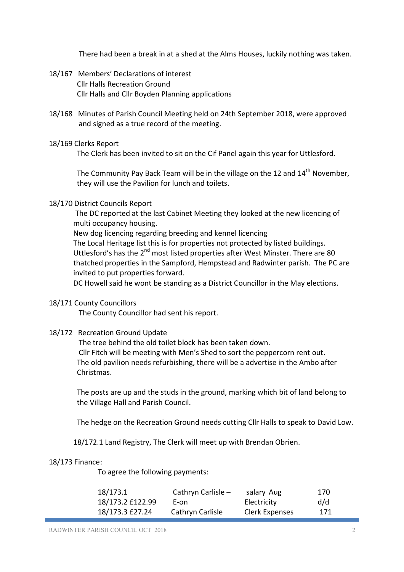There had been a break in at a shed at the Alms Houses, luckily nothing was taken.

- 18/167 Members' Declarations of interest Cllr Halls Recreation Ground Cllr Halls and Cllr Boyden Planning applications
- 18/168 Minutes of Parish Council Meeting held on 24th September 2018, were approved and signed as a true record of the meeting.

## 18/169 Clerks Report

The Clerk has been invited to sit on the Cif Panel again this year for Uttlesford.

The Community Pay Back Team will be in the village on the 12 and 14<sup>th</sup> November, they will use the Pavilion for lunch and toilets.

## 18/170 District Councils Report

The DC reported at the last Cabinet Meeting they looked at the new licencing of multi occupancy housing.

 New dog licencing regarding breeding and kennel licencing The Local Heritage list this is for properties not protected by listed buildings. Uttlesford's has the 2<sup>nd</sup> most listed properties after West Minster. There are 80 thatched properties in the Sampford, Hempstead and Radwinter parish. The PC are invited to put properties forward.

DC Howell said he wont be standing as a District Councillor in the May elections.

### 18/171 County Councillors

The County Councillor had sent his report.

## 18/172 Recreation Ground Update

 The tree behind the old toilet block has been taken down. Cllr Fitch will be meeting with Men's Shed to sort the peppercorn rent out. The old pavilion needs refurbishing, there will be a advertise in the Ambo after Christmas.

The posts are up and the studs in the ground, marking which bit of land belong to the Village Hall and Parish Council.

The hedge on the Recreation Ground needs cutting Cllr Halls to speak to David Low.

18/172.1 Land Registry, The Clerk will meet up with Brendan Obrien.

### 18/173 Finance:

To agree the following payments:

| 18/173.1         | Cathryn Carlisle – | salary Aug     | 170 |
|------------------|--------------------|----------------|-----|
| 18/173.2 £122.99 | E-on               | Electricity    | d/d |
| 18/173.3 £27.24  | Cathryn Carlisle   | Clerk Expenses | 171 |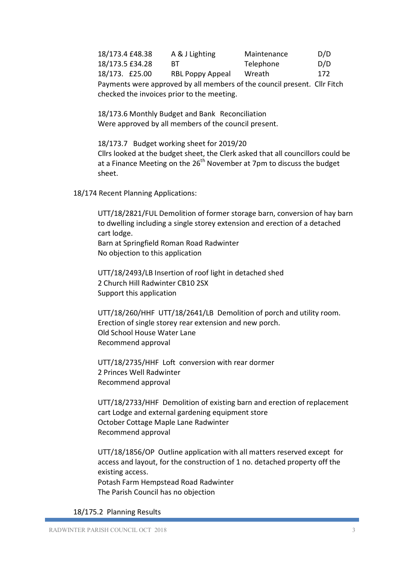18/173.4 £48.38 A & J Lighting Maintenance D/D 18/173.5 £34.28 BT Telephone D/D 18/173. £25.00 RBL Poppy Appeal Wreath 172 Payments were approved by all members of the council present. Cllr Fitch checked the invoices prior to the meeting.

 18/173.6 Monthly Budget and Bank Reconciliation Were approved by all members of the council present.

 18/173.7 Budget working sheet for 2019/20 Cllrs looked at the budget sheet, the Clerk asked that all councillors could be at a Finance Meeting on the  $26<sup>th</sup>$  November at 7pm to discuss the budget sheet.

18/174 Recent Planning Applications:

UTT/18/2821/FUL Demolition of former storage barn, conversion of hay barn to dwelling including a single storey extension and erection of a detached cart lodge. Barn at Springfield Roman Road Radwinter

No objection to this application

UTT/18/2493/LB Insertion of roof light in detached shed 2 Church Hill Radwinter CB10 2SX Support this application

UTT/18/260/HHF UTT/18/2641/LB Demolition of porch and utility room. Erection of single storey rear extension and new porch. Old School House Water Lane Recommend approval

UTT/18/2735/HHF Loft conversion with rear dormer 2 Princes Well Radwinter Recommend approval

UTT/18/2733/HHF Demolition of existing barn and erection of replacement cart Lodge and external gardening equipment store October Cottage Maple Lane Radwinter Recommend approval

UTT/18/1856/OP Outline application with all matters reserved except for access and layout, for the construction of 1 no. detached property off the existing access. Potash Farm Hempstead Road Radwinter The Parish Council has no objection

### 18/175.2 Planning Results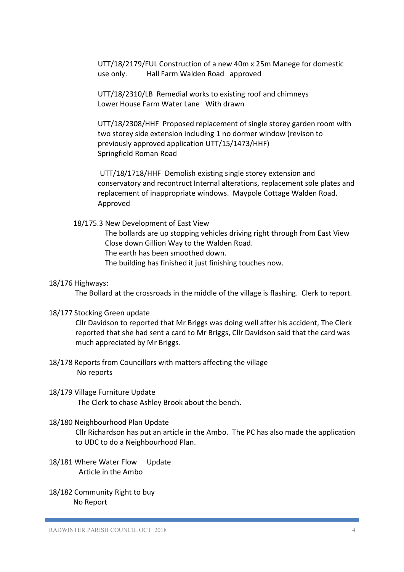UTT/18/2179/FUL Construction of a new 40m x 25m Manege for domestic use only. Hall Farm Walden Road approved

 UTT/18/2310/LB Remedial works to existing roof and chimneys Lower House Farm Water Lane With drawn

UTT/18/2308/HHF Proposed replacement of single storey garden room with two storey side extension including 1 no dormer window (revison to previously approved application UTT/15/1473/HHF) Springfield Roman Road

UTT/18/1718/HHF Demolish existing single storey extension and conservatory and recontruct Internal alterations, replacement sole plates and replacement of inappropriate windows. Maypole Cottage Walden Road. Approved

18/175.3 New Development of East View

The bollards are up stopping vehicles driving right through from East View Close down Gillion Way to the Walden Road. The earth has been smoothed down.

The building has finished it just finishing touches now.

#### 18/176 Highways:

The Bollard at the crossroads in the middle of the village is flashing. Clerk to report.

18/177 Stocking Green update

Cllr Davidson to reported that Mr Briggs was doing well after his accident, The Clerk reported that she had sent a card to Mr Briggs, Cllr Davidson said that the card was much appreciated by Mr Briggs.

- 18/178 Reports from Councillors with matters affecting the village No reports
- 18/179 Village Furniture Update The Clerk to chase Ashley Brook about the bench.

## 18/180 Neighbourhood Plan Update

Cllr Richardson has put an article in the Ambo. The PC has also made the application to UDC to do a Neighbourhood Plan.

- 18/181 Where Water Flow Update Article in the Ambo
- 18/182 Community Right to buy No Report